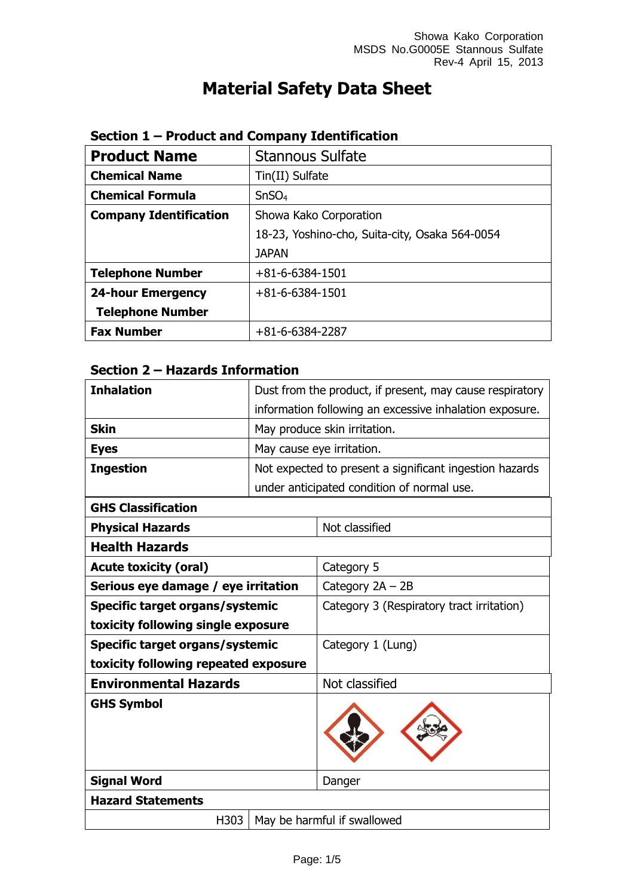# **Material Safety Data Sheet**

| <b>Product Name</b>           | <b>Stannous Sulfate</b>                        |
|-------------------------------|------------------------------------------------|
| <b>Chemical Name</b>          | Tin(II) Sulfate                                |
| <b>Chemical Formula</b>       | SnSO <sub>4</sub>                              |
| <b>Company Identification</b> | Showa Kako Corporation                         |
|                               | 18-23, Yoshino-cho, Suita-city, Osaka 564-0054 |
|                               | <b>JAPAN</b>                                   |
| <b>Telephone Number</b>       | $+81 - 6 - 6384 - 1501$                        |
| <b>24-hour Emergency</b>      | $+81 - 6 - 6384 - 1501$                        |
| <b>Telephone Number</b>       |                                                |
| <b>Fax Number</b>             | $+81-6-6384-2287$                              |

### **Section 1 – Product and Company Identification**

### **Section 2 – Hazards Information**

| <b>Inhalation</b>                    |  | Dust from the product, if present, may cause respiratory |
|--------------------------------------|--|----------------------------------------------------------|
|                                      |  | information following an excessive inhalation exposure.  |
| <b>Skin</b>                          |  | May produce skin irritation.                             |
| <b>Eyes</b>                          |  | May cause eye irritation.                                |
| <b>Ingestion</b>                     |  | Not expected to present a significant ingestion hazards  |
|                                      |  | under anticipated condition of normal use.               |
| <b>GHS Classification</b>            |  |                                                          |
| <b>Physical Hazards</b>              |  | Not classified                                           |
| <b>Health Hazards</b>                |  |                                                          |
| <b>Acute toxicity (oral)</b>         |  | Category 5                                               |
| Serious eye damage / eye irritation  |  | Category $2A - 2B$                                       |
| Specific target organs/systemic      |  | Category 3 (Respiratory tract irritation)                |
| toxicity following single exposure   |  |                                                          |
| Specific target organs/systemic      |  | Category 1 (Lung)                                        |
| toxicity following repeated exposure |  |                                                          |
| <b>Environmental Hazards</b>         |  | Not classified                                           |
| <b>GHS Symbol</b>                    |  |                                                          |
| <b>Signal Word</b>                   |  | Danger                                                   |
| <b>Hazard Statements</b>             |  |                                                          |
| H303                                 |  | May be harmful if swallowed                              |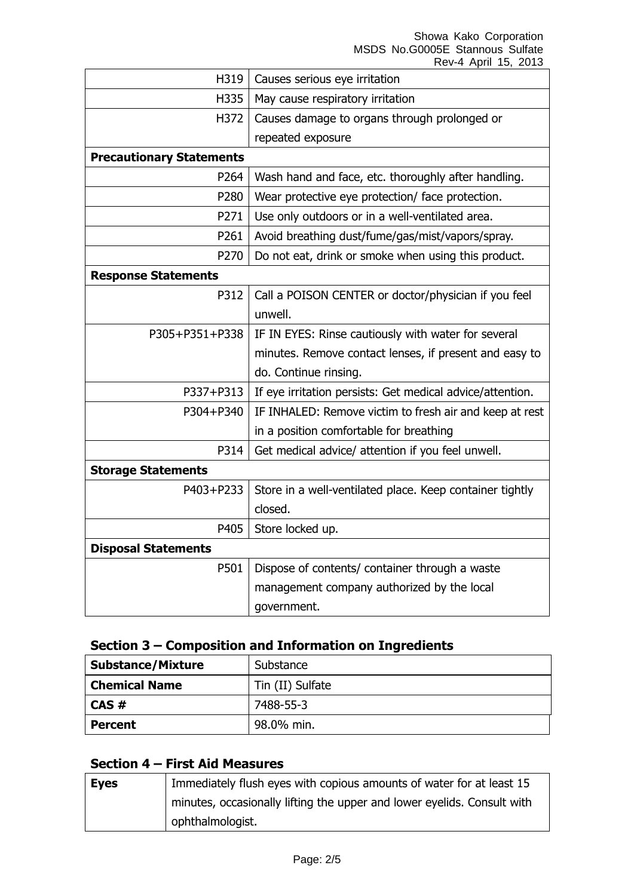Showa Kako Corporation MSDS No.G0005E Stannous Sulfate

|                                 | Rev-4 April 15, 2013                                      |
|---------------------------------|-----------------------------------------------------------|
| H319                            | Causes serious eye irritation                             |
| H335                            | May cause respiratory irritation                          |
| H372                            | Causes damage to organs through prolonged or              |
|                                 | repeated exposure                                         |
| <b>Precautionary Statements</b> |                                                           |
| P264                            | Wash hand and face, etc. thoroughly after handling.       |
| P280                            | Wear protective eye protection/ face protection.          |
| P271                            | Use only outdoors or in a well-ventilated area.           |
| P261                            | Avoid breathing dust/fume/gas/mist/vapors/spray.          |
| P270                            | Do not eat, drink or smoke when using this product.       |
| <b>Response Statements</b>      |                                                           |
| P312                            | Call a POISON CENTER or doctor/physician if you feel      |
|                                 | unwell.                                                   |
| P305+P351+P338                  | IF IN EYES: Rinse cautiously with water for several       |
|                                 | minutes. Remove contact lenses, if present and easy to    |
|                                 | do. Continue rinsing.                                     |
| P337+P313                       | If eye irritation persists: Get medical advice/attention. |
| P304+P340                       | IF INHALED: Remove victim to fresh air and keep at rest   |
|                                 | in a position comfortable for breathing                   |
| P314                            | Get medical advice/ attention if you feel unwell.         |
| <b>Storage Statements</b>       |                                                           |
| P403+P233                       | Store in a well-ventilated place. Keep container tightly  |
|                                 | closed.                                                   |
| P405                            | Store locked up.                                          |
| <b>Disposal Statements</b>      |                                                           |
| P501                            | Dispose of contents/ container through a waste            |
|                                 | management company authorized by the local                |
|                                 | government.                                               |

## **Section 3 – Composition and Information on Ingredients**

| <b>Substance/Mixture</b> | Substance        |
|--------------------------|------------------|
| <b>Chemical Name</b>     | Tin (II) Sulfate |
| CAS#                     | 7488-55-3        |
| <b>Percent</b>           | 98.0% min.       |

### **Section 4 – First Aid Measures**

| <b>Eyes</b> | Immediately flush eyes with copious amounts of water for at least 15    |
|-------------|-------------------------------------------------------------------------|
|             | minutes, occasionally lifting the upper and lower eyelids. Consult with |
|             | ophthalmologist.                                                        |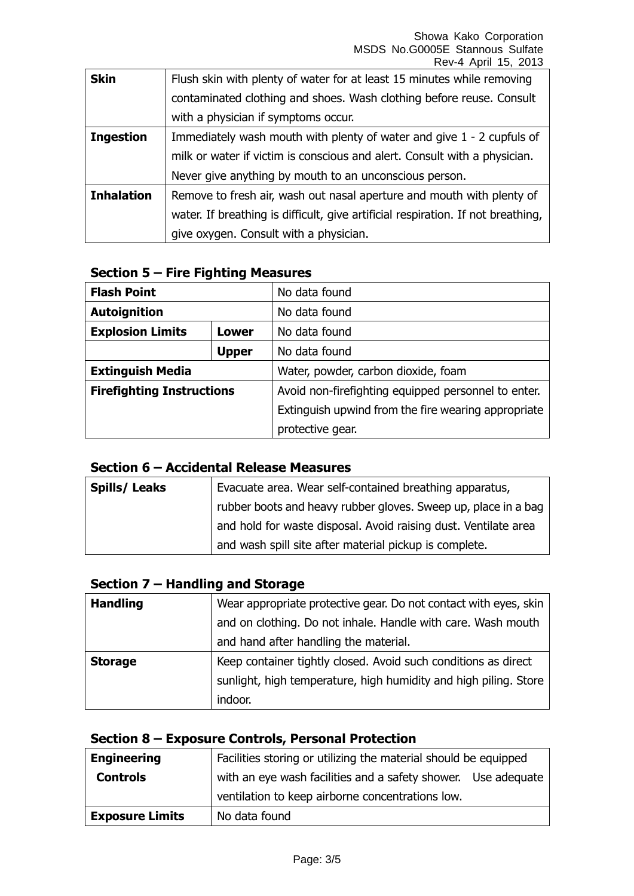Showa Kako Corporation MSDS No.G0005E Stannous Sulfate Rev-4 April 15, 2013

| <b>Skin</b>       | Flush skin with plenty of water for at least 15 minutes while removing           |
|-------------------|----------------------------------------------------------------------------------|
|                   | contaminated clothing and shoes. Wash clothing before reuse. Consult             |
|                   | with a physician if symptoms occur.                                              |
| <b>Ingestion</b>  | Immediately wash mouth with plenty of water and give 1 - 2 cupfuls of            |
|                   | milk or water if victim is conscious and alert. Consult with a physician.        |
|                   | Never give anything by mouth to an unconscious person.                           |
| <b>Inhalation</b> | Remove to fresh air, wash out nasal aperture and mouth with plenty of            |
|                   | water. If breathing is difficult, give artificial respiration. If not breathing, |
|                   | give oxygen. Consult with a physician.                                           |

#### **Section 5 – Fire Fighting Measures**

| <b>Flash Point</b>               |              | No data found                                       |
|----------------------------------|--------------|-----------------------------------------------------|
| <b>Autoignition</b>              |              | No data found                                       |
| <b>Explosion Limits</b>          | <b>Lower</b> | No data found                                       |
|                                  | <b>Upper</b> | No data found                                       |
| <b>Extinguish Media</b>          |              | Water, powder, carbon dioxide, foam                 |
| <b>Firefighting Instructions</b> |              | Avoid non-firefighting equipped personnel to enter. |
|                                  |              | Extinguish upwind from the fire wearing appropriate |
|                                  |              | protective gear.                                    |

### **Section 6 – Accidental Release Measures**

| <b>Spills/Leaks</b> | Evacuate area. Wear self-contained breathing apparatus,         |
|---------------------|-----------------------------------------------------------------|
|                     | rubber boots and heavy rubber gloves. Sweep up, place in a bag  |
|                     | and hold for waste disposal. Avoid raising dust. Ventilate area |
|                     | and wash spill site after material pickup is complete.          |

### **Section 7 – Handling and Storage**

| <b>Handling</b> | Wear appropriate protective gear. Do not contact with eyes, skin |
|-----------------|------------------------------------------------------------------|
|                 | and on clothing. Do not inhale. Handle with care. Wash mouth     |
|                 | and hand after handling the material.                            |
| <b>Storage</b>  | Keep container tightly closed. Avoid such conditions as direct   |
|                 | sunlight, high temperature, high humidity and high piling. Store |
|                 | indoor.                                                          |

## **Section 8 – Exposure Controls, Personal Protection**

| <b>Engineering</b>     | Facilities storing or utilizing the material should be equipped |  |
|------------------------|-----------------------------------------------------------------|--|
| <b>Controls</b>        | with an eye wash facilities and a safety shower. Use adequate   |  |
|                        | ventilation to keep airborne concentrations low.                |  |
| <b>Exposure Limits</b> | No data found                                                   |  |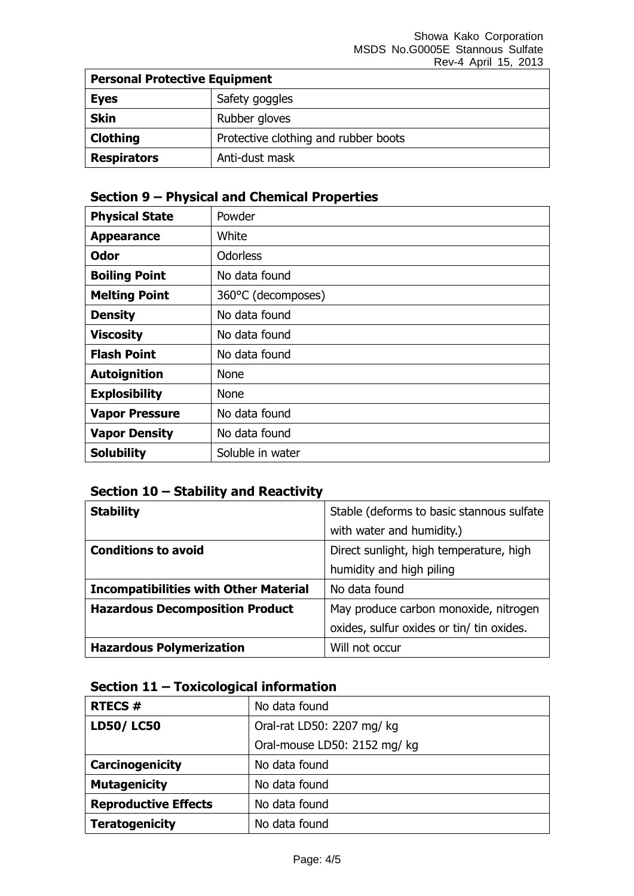| <b>Personal Protective Equipment</b> |                                      |
|--------------------------------------|--------------------------------------|
| <b>Eyes</b>                          | Safety goggles                       |
| <b>Skin</b>                          | Rubber gloves                        |
| Clothing                             | Protective clothing and rubber boots |
| <b>Respirators</b>                   | Anti-dust mask                       |

### **Section 9 – Physical and Chemical Properties**

| <b>Physical State</b> | Powder             |
|-----------------------|--------------------|
| <b>Appearance</b>     | White              |
| <b>Odor</b>           | <b>Odorless</b>    |
| <b>Boiling Point</b>  | No data found      |
| <b>Melting Point</b>  | 360°C (decomposes) |
| <b>Density</b>        | No data found      |
| <b>Viscosity</b>      | No data found      |
| <b>Flash Point</b>    | No data found      |
| <b>Autoignition</b>   | <b>None</b>        |
| <b>Explosibility</b>  | <b>None</b>        |
| <b>Vapor Pressure</b> | No data found      |
| <b>Vapor Density</b>  | No data found      |
| <b>Solubility</b>     | Soluble in water   |

### **Section 10 – Stability and Reactivity**

| <b>Stability</b>                             | Stable (deforms to basic stannous sulfate |
|----------------------------------------------|-------------------------------------------|
|                                              | with water and humidity.)                 |
| <b>Conditions to avoid</b>                   | Direct sunlight, high temperature, high   |
|                                              | humidity and high piling                  |
| <b>Incompatibilities with Other Material</b> | No data found                             |
| <b>Hazardous Decomposition Product</b>       | May produce carbon monoxide, nitrogen     |
|                                              | oxides, sulfur oxides or tin/ tin oxides. |
| <b>Hazardous Polymerization</b>              | Will not occur                            |

### **Section 11 – Toxicological information**

| <b>RTECS #</b>              | No data found                |
|-----------------------------|------------------------------|
| <b>LD50/LC50</b>            | Oral-rat LD50: 2207 mg/ kg   |
|                             | Oral-mouse LD50: 2152 mg/ kg |
| Carcinogenicity             | No data found                |
| <b>Mutagenicity</b>         | No data found                |
| <b>Reproductive Effects</b> | No data found                |
| <b>Teratogenicity</b>       | No data found                |